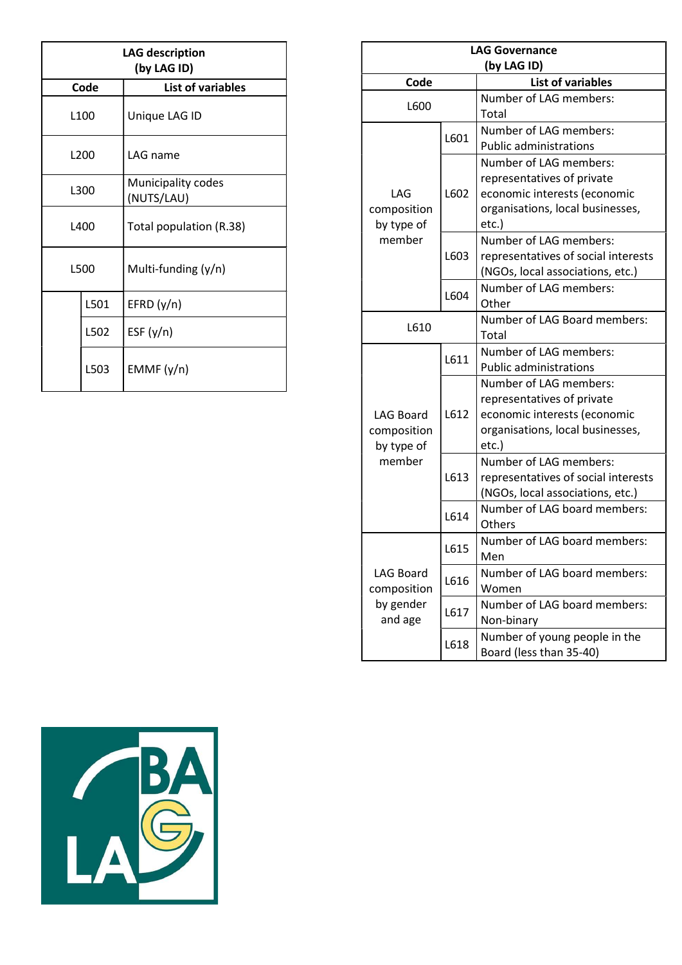| <b>LAG description</b><br>(by LAG ID) |      |                                  |  |  |
|---------------------------------------|------|----------------------------------|--|--|
| Code                                  |      | List of variables                |  |  |
| L <sub>100</sub>                      |      | Unique LAG ID                    |  |  |
| L200                                  |      | LAG name                         |  |  |
| L300                                  |      | Municipality codes<br>(NUTS/LAU) |  |  |
| L <sub>400</sub>                      |      | Total population (R.38)          |  |  |
| L500                                  |      | Multi-funding (y/n)              |  |  |
|                                       | L501 | EFRD(y/n)                        |  |  |
|                                       | L502 | ESF $(y/n)$                      |  |  |
|                                       | L503 | EMMF(y/n)                        |  |  |

| <b>LAG Governance</b> |      |                                     |  |  |  |  |
|-----------------------|------|-------------------------------------|--|--|--|--|
| (by LAG ID)           |      |                                     |  |  |  |  |
| Code                  |      | <b>List of variables</b>            |  |  |  |  |
| L600                  |      | Number of LAG members:              |  |  |  |  |
|                       |      | Total                               |  |  |  |  |
|                       | L601 | Number of LAG members:              |  |  |  |  |
|                       |      | <b>Public administrations</b>       |  |  |  |  |
|                       | L602 | Number of LAG members:              |  |  |  |  |
|                       |      | representatives of private          |  |  |  |  |
| LAG                   |      | economic interests (economic        |  |  |  |  |
| composition           |      | organisations, local businesses,    |  |  |  |  |
| by type of            |      | etc.)                               |  |  |  |  |
| member                | L603 | Number of LAG members:              |  |  |  |  |
|                       |      | representatives of social interests |  |  |  |  |
|                       | L604 | (NGOs, local associations, etc.)    |  |  |  |  |
|                       |      | Number of LAG members:<br>Other     |  |  |  |  |
|                       |      | Number of LAG Board members:        |  |  |  |  |
| L610                  |      | Total                               |  |  |  |  |
|                       |      | Number of LAG members:              |  |  |  |  |
|                       | L611 | <b>Public administrations</b>       |  |  |  |  |
|                       |      | Number of LAG members:              |  |  |  |  |
|                       | L612 | representatives of private          |  |  |  |  |
| <b>LAG Board</b>      |      | economic interests (economic        |  |  |  |  |
| composition           |      | organisations, local businesses,    |  |  |  |  |
| by type of            |      | etc.)                               |  |  |  |  |
| member                | L613 | Number of LAG members:              |  |  |  |  |
|                       |      | representatives of social interests |  |  |  |  |
|                       |      | (NGOs, local associations, etc.)    |  |  |  |  |
|                       | L614 | Number of LAG board members:        |  |  |  |  |
|                       |      | Others                              |  |  |  |  |
|                       | L615 | Number of LAG board members:        |  |  |  |  |
|                       |      | Men                                 |  |  |  |  |
| <b>LAG Board</b>      | L616 | Number of LAG board members:        |  |  |  |  |
| composition           |      | Women                               |  |  |  |  |
| by gender             | L617 | Number of LAG board members:        |  |  |  |  |
| and age               |      | Non-binary                          |  |  |  |  |
|                       | L618 | Number of young people in the       |  |  |  |  |
|                       |      | Board (less than 35-40)             |  |  |  |  |

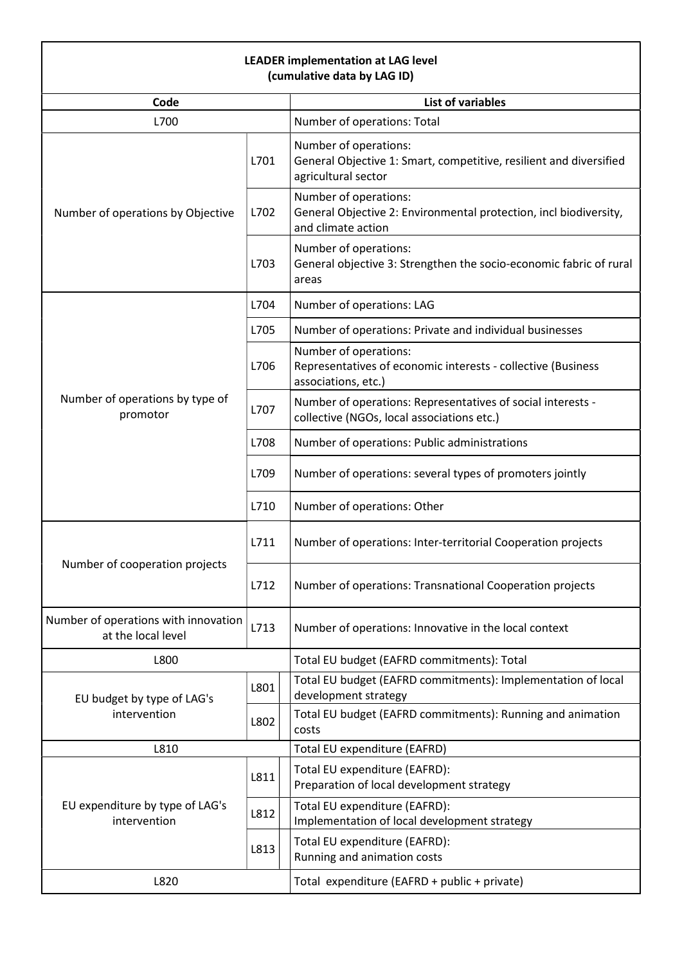## LEADER implementation at LAG level (cumulative data by LAG ID)

| (Curriculative data by LAG ID)                                     |      |                                                                                                                    |  |  |  |  |
|--------------------------------------------------------------------|------|--------------------------------------------------------------------------------------------------------------------|--|--|--|--|
| Code                                                               |      | <b>List of variables</b>                                                                                           |  |  |  |  |
| L700                                                               |      | Number of operations: Total                                                                                        |  |  |  |  |
|                                                                    | L701 | Number of operations:<br>General Objective 1: Smart, competitive, resilient and diversified<br>agricultural sector |  |  |  |  |
| Number of operations by Objective                                  | L702 | Number of operations:<br>General Objective 2: Environmental protection, incl biodiversity,<br>and climate action   |  |  |  |  |
|                                                                    | L703 | Number of operations:<br>General objective 3: Strengthen the socio-economic fabric of rural<br>areas               |  |  |  |  |
|                                                                    | L704 | Number of operations: LAG                                                                                          |  |  |  |  |
|                                                                    | L705 | Number of operations: Private and individual businesses                                                            |  |  |  |  |
|                                                                    | L706 | Number of operations:<br>Representatives of economic interests - collective (Business<br>associations, etc.)       |  |  |  |  |
| Number of operations by type of<br>promotor                        | L707 | Number of operations: Representatives of social interests -<br>collective (NGOs, local associations etc.)          |  |  |  |  |
|                                                                    | L708 | Number of operations: Public administrations                                                                       |  |  |  |  |
|                                                                    | L709 | Number of operations: several types of promoters jointly                                                           |  |  |  |  |
|                                                                    | L710 | Number of operations: Other                                                                                        |  |  |  |  |
|                                                                    | L711 | Number of operations: Inter-territorial Cooperation projects                                                       |  |  |  |  |
| Number of cooperation projects                                     | L712 | Number of operations: Transnational Cooperation projects                                                           |  |  |  |  |
| Number of operations with innovation<br>L713<br>at the local level |      | Number of operations: Innovative in the local context                                                              |  |  |  |  |
| L800                                                               |      | Total EU budget (EAFRD commitments): Total                                                                         |  |  |  |  |
| EU budget by type of LAG's                                         | L801 | Total EU budget (EAFRD commitments): Implementation of local<br>development strategy                               |  |  |  |  |
| intervention                                                       | L802 | Total EU budget (EAFRD commitments): Running and animation<br>costs                                                |  |  |  |  |
| L810                                                               |      | Total EU expenditure (EAFRD)                                                                                       |  |  |  |  |
|                                                                    | L811 | Total EU expenditure (EAFRD):<br>Preparation of local development strategy                                         |  |  |  |  |
| EU expenditure by type of LAG's<br>intervention                    | L812 | Total EU expenditure (EAFRD):<br>Implementation of local development strategy                                      |  |  |  |  |
|                                                                    | L813 | Total EU expenditure (EAFRD):<br>Running and animation costs                                                       |  |  |  |  |
| L820                                                               |      | Total expenditure (EAFRD + public + private)                                                                       |  |  |  |  |